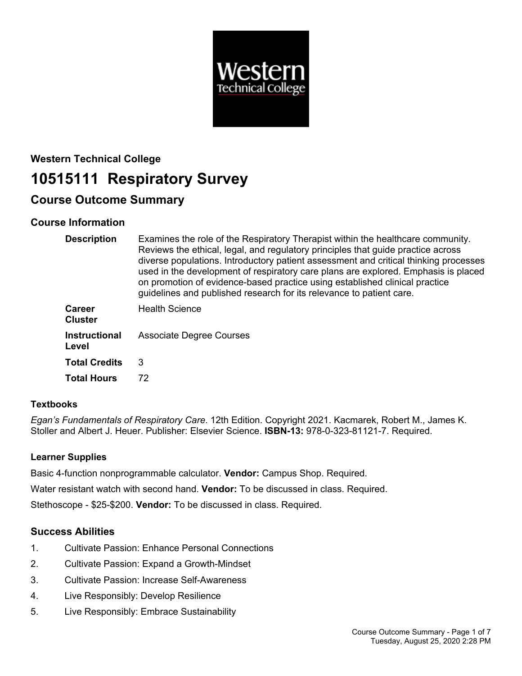

# **Western Technical College 10515111 Respiratory Survey**

# **Course Outcome Summary**

# **Course Information**

| <b>Description</b>              | Examines the role of the Respiratory Therapist within the healthcare community.<br>Reviews the ethical, legal, and regulatory principles that guide practice across<br>diverse populations. Introductory patient assessment and critical thinking processes<br>used in the development of respiratory care plans are explored. Emphasis is placed<br>on promotion of evidence-based practice using established clinical practice<br>guidelines and published research for its relevance to patient care. |
|---------------------------------|----------------------------------------------------------------------------------------------------------------------------------------------------------------------------------------------------------------------------------------------------------------------------------------------------------------------------------------------------------------------------------------------------------------------------------------------------------------------------------------------------------|
| <b>Career</b><br><b>Cluster</b> | <b>Health Science</b>                                                                                                                                                                                                                                                                                                                                                                                                                                                                                    |
| <b>Instructional</b><br>Level   | <b>Associate Degree Courses</b>                                                                                                                                                                                                                                                                                                                                                                                                                                                                          |
| <b>Total Credits</b>            | 3                                                                                                                                                                                                                                                                                                                                                                                                                                                                                                        |
| <b>Total Hours</b>              | 72                                                                                                                                                                                                                                                                                                                                                                                                                                                                                                       |

# **Textbooks**

*Egan's Fundamentals of Respiratory Care*. 12th Edition. Copyright 2021. Kacmarek, Robert M., James K. Stoller and Albert J. Heuer. Publisher: Elsevier Science. **ISBN-13:** 978-0-323-81121-7. Required.

# **Learner Supplies**

Basic 4-function nonprogrammable calculator. **Vendor:** Campus Shop. Required.

Water resistant watch with second hand. **Vendor:** To be discussed in class. Required.

Stethoscope - \$25-\$200. **Vendor:** To be discussed in class. Required.

# **Success Abilities**

- 1. Cultivate Passion: Enhance Personal Connections
- 2. Cultivate Passion: Expand a Growth-Mindset
- 3. Cultivate Passion: Increase Self-Awareness
- 4. Live Responsibly: Develop Resilience
- 5. Live Responsibly: Embrace Sustainability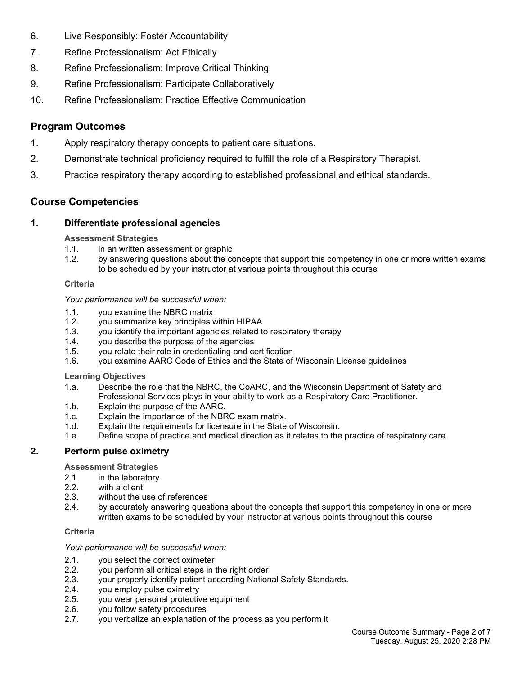- 6. Live Responsibly: Foster Accountability
- 7. Refine Professionalism: Act Ethically
- 8. Refine Professionalism: Improve Critical Thinking
- 9. Refine Professionalism: Participate Collaboratively
- 10. Refine Professionalism: Practice Effective Communication

# **Program Outcomes**

- 1. Apply respiratory therapy concepts to patient care situations.
- 2. Demonstrate technical proficiency required to fulfill the role of a Respiratory Therapist.
- 3. Practice respiratory therapy according to established professional and ethical standards.

# **Course Competencies**

# **1. Differentiate professional agencies**

#### **Assessment Strategies**

- 1.1. in an written assessment or graphic
- 1.2. by answering questions about the concepts that support this competency in one or more written exams to be scheduled by your instructor at various points throughout this course

#### **Criteria**

#### *Your performance will be successful when:*

- 1.1. you examine the NBRC matrix
- 1.2. you summarize key principles within HIPAA
- 1.3. you identify the important agencies related to respiratory therapy
- 1.4. you describe the purpose of the agencies
- 1.5. you relate their role in credentialing and certification
- 1.6. you examine AARC Code of Ethics and the State of Wisconsin License guidelines

# **Learning Objectives**

- 1.a. Describe the role that the NBRC, the CoARC, and the Wisconsin Department of Safety and Professional Services plays in your ability to work as a Respiratory Care Practitioner.
- 1.b. Explain the purpose of the AARC.
- 1.c. Explain the importance of the NBRC exam matrix.
- 1.d. Explain the requirements for licensure in the State of Wisconsin.
- 1.e. Define scope of practice and medical direction as it relates to the practice of respiratory care.

# **2. Perform pulse oximetry**

**Assessment Strategies**

- 2.1. in the laboratory
- 2.2. with a client
- 2.3. without the use of references
- 2.4. by accurately answering questions about the concepts that support this competency in one or more written exams to be scheduled by your instructor at various points throughout this course

#### **Criteria**

*Your performance will be successful when:*

- 
- 2.1. you select the correct oximeter<br>2.2. vou perform all critical steps in 2.2. you perform all critical steps in the right order
- 2.3. your properly identify patient according National Safety Standards.
- 2.4. you employ pulse oximetry
- 2.5. you wear personal protective equipment
- 2.6. you follow safety procedures
- 2.7. you verbalize an explanation of the process as you perform it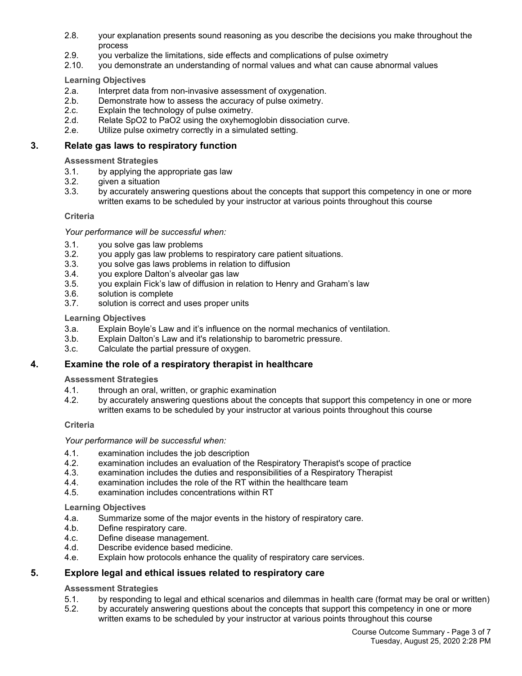- 2.8. your explanation presents sound reasoning as you describe the decisions you make throughout the process
- 2.9. you verbalize the limitations, side effects and complications of pulse oximetry
- 2.10. you demonstrate an understanding of normal values and what can cause abnormal values

#### **Learning Objectives**

- 2.a. Interpret data from non-invasive assessment of oxygenation.
- 2.b. Demonstrate how to assess the accuracy of pulse oximetry.
- 2.c. Explain the technology of pulse oximetry.
- 2.d. Relate SpO2 to PaO2 using the oxyhemoglobin dissociation curve.
- 2.e. Utilize pulse oximetry correctly in a simulated setting.

#### **3. Relate gas laws to respiratory function**

#### **Assessment Strategies**

- 3.1. by applying the appropriate gas law
- 3.2. given a situation
- 3.3. by accurately answering questions about the concepts that support this competency in one or more written exams to be scheduled by your instructor at various points throughout this course

#### **Criteria**

#### *Your performance will be successful when:*

- 3.1. you solve gas law problems
- 3.2. you apply gas law problems to respiratory care patient situations.
- 3.3. you solve gas laws problems in relation to diffusion
- 3.4. you explore Dalton's alveolar gas law
- 3.5. you explain Fick's law of diffusion in relation to Henry and Graham's law
- 3.6. solution is complete
- 3.7. solution is correct and uses proper units

#### **Learning Objectives**

- 3.a. Explain Boyle's Law and it's influence on the normal mechanics of ventilation.
- 3.b. Explain Dalton's Law and it's relationship to barometric pressure.
- 3.c. Calculate the partial pressure of oxygen.

# **4. Examine the role of a respiratory therapist in healthcare**

# **Assessment Strategies**

- 4.1. through an oral, written, or graphic examination
- 4.2. by accurately answering questions about the concepts that support this competency in one or more written exams to be scheduled by your instructor at various points throughout this course

# **Criteria**

#### *Your performance will be successful when:*

- 4.1. examination includes the job description
- 4.2. examination includes an evaluation of the Respiratory Therapist's scope of practice
- 4.3. examination includes the duties and responsibilities of a Respiratory Therapist
- 4.4. examination includes the role of the RT within the healthcare team
- 4.5. examination includes concentrations within RT

#### **Learning Objectives**

- 4.a. Summarize some of the major events in the history of respiratory care.
- 4.b. Define respiratory care.
- 4.c. Define disease management.
- 4.d. Describe evidence based medicine.
- 4.e. Explain how protocols enhance the quality of respiratory care services.

# **5. Explore legal and ethical issues related to respiratory care**

#### **Assessment Strategies**

- 5.1. by responding to legal and ethical scenarios and dilemmas in health care (format may be oral or written)
- 5.2. by accurately answering questions about the concepts that support this competency in one or more written exams to be scheduled by your instructor at various points throughout this course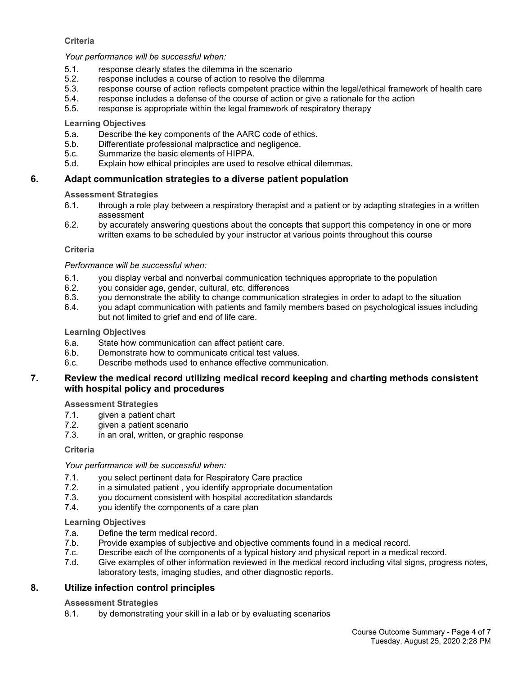#### **Criteria**

#### *Your performance will be successful when:*

- 5.1. response clearly states the dilemma in the scenario
- 5.2. response includes a course of action to resolve the dilemma
- 5.3. response course of action reflects competent practice within the legal/ethical framework of health care
- 5.4. response includes a defense of the course of action or give a rationale for the action
- 5.5. response is appropriate within the legal framework of respiratory therapy

#### **Learning Objectives**

- 5.a. Describe the key components of the AARC code of ethics.
- 5.b. Differentiate professional malpractice and negligence.
- 5.c. Summarize the basic elements of HIPPA.
- 5.d. Explain how ethical principles are used to resolve ethical dilemmas.

# **6. Adapt communication strategies to a diverse patient population**

#### **Assessment Strategies**

- 6.1. through a role play between a respiratory therapist and a patient or by adapting strategies in a written assessment
- 6.2. by accurately answering questions about the concepts that support this competency in one or more written exams to be scheduled by your instructor at various points throughout this course

#### **Criteria**

#### *Performance will be successful when:*

- 6.1. you display verbal and nonverbal communication techniques appropriate to the population
- 6.2. you consider age, gender, cultural, etc. differences
- you demonstrate the ability to change communication strategies in order to adapt to the situation
- 6.4. you adapt communication with patients and family members based on psychological issues including but not limited to grief and end of life care.

#### **Learning Objectives**

- 6.a. State how communication can affect patient care.
- 6.b. Demonstrate how to communicate critical test values.
- 6.c. Describe methods used to enhance effective communication.

#### **7. Review the medical record utilizing medical record keeping and charting methods consistent with hospital policy and procedures**

# **Assessment Strategies**

- 7.1. given a patient chart
- 7.2. given a patient scenario
- 7.3. in an oral, written, or graphic response

#### **Criteria**

#### *Your performance will be successful when:*

- 7.1. you select pertinent data for Respiratory Care practice
- 7.2. in a simulated patient , you identify appropriate documentation
- 7.3. you document consistent with hospital accreditation standards
- 7.4. you identify the components of a care plan

#### **Learning Objectives**

- 7.a. Define the term medical record.
- 7.b. Provide examples of subjective and objective comments found in a medical record.
- 7.c. Describe each of the components of a typical history and physical report in a medical record.
- 7.d. Give examples of other information reviewed in the medical record including vital signs, progress notes, laboratory tests, imaging studies, and other diagnostic reports.

# **8. Utilize infection control principles**

# **Assessment Strategies**

8.1. by demonstrating your skill in a lab or by evaluating scenarios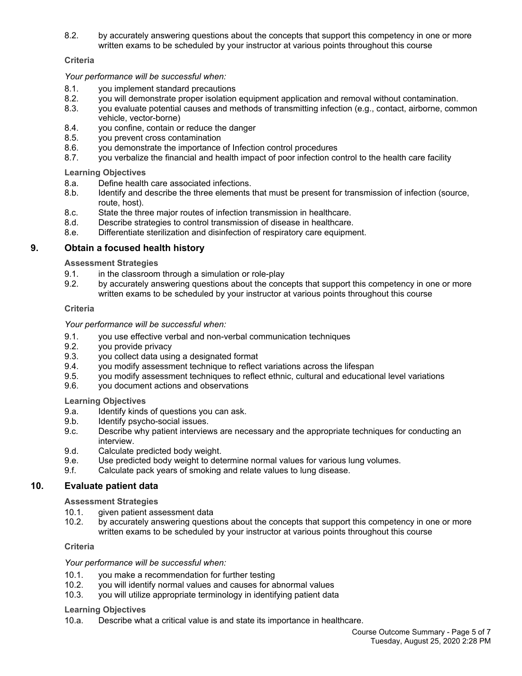8.2. by accurately answering questions about the concepts that support this competency in one or more written exams to be scheduled by your instructor at various points throughout this course

#### **Criteria**

*Your performance will be successful when:*

- 8.1. you implement standard precautions
- 8.2. you will demonstrate proper isolation equipment application and removal without contamination.
- 8.3. you evaluate potential causes and methods of transmitting infection (e.g., contact, airborne, common vehicle, vector-borne)
- 8.4. you confine, contain or reduce the danger
- 8.5. you prevent cross contamination
- 8.6. you demonstrate the importance of Infection control procedures
- 8.7. you verbalize the financial and health impact of poor infection control to the health care facility

**Learning Objectives**

- 8.a. Define health care associated infections.
- 8.b. Identify and describe the three elements that must be present for transmission of infection (source, route, host).
- 8.c. State the three major routes of infection transmission in healthcare.
- 8.d. Describe strategies to control transmission of disease in healthcare.
- 8.e. Differentiate sterilization and disinfection of respiratory care equipment.

# **9. Obtain a focused health history**

**Assessment Strategies**

- 9.1. in the classroom through a simulation or role-play
- 9.2. by accurately answering questions about the concepts that support this competency in one or more written exams to be scheduled by your instructor at various points throughout this course

#### **Criteria**

*Your performance will be successful when:*

- 9.1. you use effective verbal and non-verbal communication techniques
- 9.2. you provide privacy
- 9.3. you collect data using a designated format
- 9.4. you modify assessment technique to reflect variations across the lifespan
- 9.5. you modify assessment techniques to reflect ethnic, cultural and educational level variations
- 9.6. you document actions and observations

**Learning Objectives**

- 9.a. Identify kinds of questions you can ask.
- 9.b. Identify psycho-social issues.
- 9.c. Describe why patient interviews are necessary and the appropriate techniques for conducting an interview.
- 9.d. Calculate predicted body weight.
- 9.e. Use predicted body weight to determine normal values for various lung volumes.
- 9.f. Calculate pack years of smoking and relate values to lung disease.

# **10. Evaluate patient data**

**Assessment Strategies**

- 10.1. given patient assessment data
- 10.2. by accurately answering questions about the concepts that support this competency in one or more written exams to be scheduled by your instructor at various points throughout this course

# **Criteria**

*Your performance will be successful when:*

- 10.1. you make a recommendation for further testing<br>10.2. vou will identify normal values and causes for a
- you will identify normal values and causes for abnormal values
- 10.3. you will utilize appropriate terminology in identifying patient data

#### **Learning Objectives**

10.a. Describe what a critical value is and state its importance in healthcare.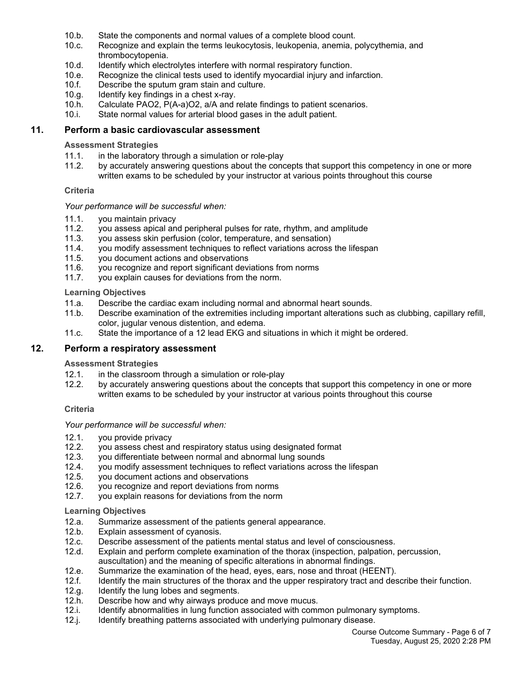- 10.b. State the components and normal values of a complete blood count.
- 10.c. Recognize and explain the terms leukocytosis, leukopenia, anemia, polycythemia, and thrombocytopenia.
- 10.d. Identify which electrolytes interfere with normal respiratory function.
- 10.e. Recognize the clinical tests used to identify myocardial injury and infarction.
- 10.f. Describe the sputum gram stain and culture.
- 10.g. Identify key findings in a chest x-ray.
- 10.h. Calculate PAO2, P(A-a)O2, a/A and relate findings to patient scenarios.
- 10.i. State normal values for arterial blood gases in the adult patient.

#### **11. Perform a basic cardiovascular assessment**

#### **Assessment Strategies**

- 11.1. in the laboratory through a simulation or role-play
- 11.2. by accurately answering questions about the concepts that support this competency in one or more written exams to be scheduled by your instructor at various points throughout this course

#### **Criteria**

#### *Your performance will be successful when:*

- 11.1. you maintain privacy
- 11.2. you assess apical and peripheral pulses for rate, rhythm, and amplitude
- 11.3. you assess skin perfusion (color, temperature, and sensation)
- 11.4. you modify assessment techniques to reflect variations across the lifespan
- 11.5. you document actions and observations
- 11.6. you recognize and report significant deviations from norms
- 11.7. you explain causes for deviations from the norm.

#### **Learning Objectives**

- 11.a. Describe the cardiac exam including normal and abnormal heart sounds.
- 11.b. Describe examination of the extremities including important alterations such as clubbing, capillary refill, color, jugular venous distention, and edema.
- 11.c. State the importance of a 12 lead EKG and situations in which it might be ordered.

#### **12. Perform a respiratory assessment**

#### **Assessment Strategies**

- 12.1. in the classroom through a simulation or role-play
- 12.2. by accurately answering questions about the concepts that support this competency in one or more written exams to be scheduled by your instructor at various points throughout this course

#### **Criteria**

#### *Your performance will be successful when:*

- 12.1. you provide privacy<br>12.2. you assess chest are
- you assess chest and respiratory status using designated format
- 12.3. you differentiate between normal and abnormal lung sounds
- 12.4. you modify assessment techniques to reflect variations across the lifespan
- 12.5. you document actions and observations
- 12.6. you recognize and report deviations from norms
- 12.7. you explain reasons for deviations from the norm

#### **Learning Objectives**

- 12.a. Summarize assessment of the patients general appearance.
- 12.b. Explain assessment of cyanosis.
- 12.c. Describe assessment of the patients mental status and level of consciousness.
- 12.d. Explain and perform complete examination of the thorax (inspection, palpation, percussion, auscultation) and the meaning of specific alterations in abnormal findings.
- 12.e. Summarize the examination of the head, eyes, ears, nose and throat (HEENT).
- 12.f. Identify the main structures of the thorax and the upper respiratory tract and describe their function.
- 12.g. Identify the lung lobes and segments.
- 12.h. Describe how and why airways produce and move mucus.
- 12.i. Identify abnormalities in lung function associated with common pulmonary symptoms.
- 12.j. Identify breathing patterns associated with underlying pulmonary disease.